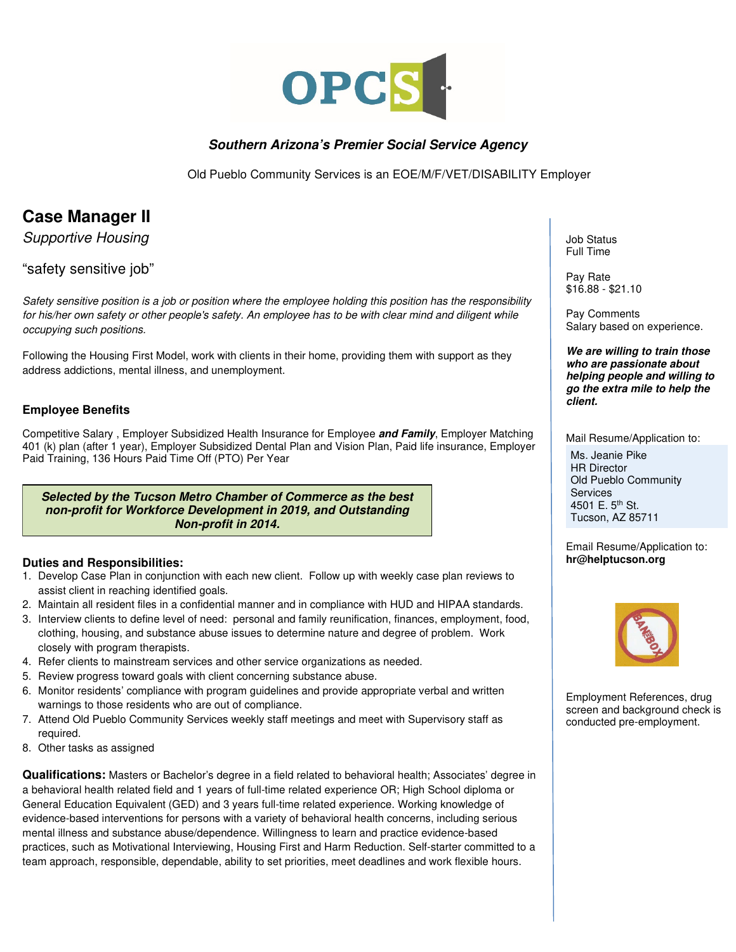

## **Southern Arizona's Premier Social Service Agency**

Old Pueblo Community Services is an EOE/M/F/VET/DISABILITY Employer

## **Case Manager II**

Supportive Housing

"safety sensitive job"

Safety sensitive position is a job or position where the employee holding this position has the responsibility for his/her own safety or other people's safety. An employee has to be with clear mind and diligent while occupying such positions.

Following the Housing First Model, work with clients in their home, providing them with support as they address addictions, mental illness, and unemployment.

## **Employee Benefits**

Competitive Salary , Employer Subsidized Health Insurance for Employee **and Family**, Employer Matching 401 (k) plan (after 1 year), Employer Subsidized Dental Plan and Vision Plan, Paid life insurance, Employer Paid Training, 136 Hours Paid Time Off (PTO) Per Year

**Selected by the Tucson Metro Chamber of Commerce as the best non-profit for Workforce Development in 2019, and Outstanding Non-profit in 2014.** 

## **Duties and Responsibilities:**

- 1. Develop Case Plan in conjunction with each new client. Follow up with weekly case plan reviews to assist client in reaching identified goals.
- 2. Maintain all resident files in a confidential manner and in compliance with HUD and HIPAA standards.
- 3. Interview clients to define level of need: personal and family reunification, finances, employment, food, clothing, housing, and substance abuse issues to determine nature and degree of problem. Work closely with program therapists.
- 4. Refer clients to mainstream services and other service organizations as needed.
- 5. Review progress toward goals with client concerning substance abuse.
- 6. Monitor residents' compliance with program guidelines and provide appropriate verbal and written warnings to those residents who are out of compliance.
- 7. Attend Old Pueblo Community Services weekly staff meetings and meet with Supervisory staff as required.
- 8. Other tasks as assigned

**Qualifications:** Masters or Bachelor's degree in a field related to behavioral health; Associates' degree in a behavioral health related field and 1 years of full-time related experience OR; High School diploma or General Education Equivalent (GED) and 3 years full-time related experience. Working knowledge of evidence-based interventions for persons with a variety of behavioral health concerns, including serious mental illness and substance abuse/dependence. Willingness to learn and practice evidence-based practices, such as Motivational Interviewing, Housing First and Harm Reduction. Self-starter committed to a team approach, responsible, dependable, ability to set priorities, meet deadlines and work flexible hours.

Job Status Full Time

Pay Rate \$16.88 - \$21.10

Pay Comments Salary based on experience.

**We are willing to train those who are passionate about helping people and willing to go the extra mile to help the client.** 

Mail Resume/Application to: Ms. Jeanie Pike HR Director Old Pueblo Community **Services** 4501 E. 5<sup>th</sup> St. Tucson, AZ 85711

Email Resume/Application to: **hr@helptucson.org** 



Employment References, drug screen and background check is conducted pre-employment.